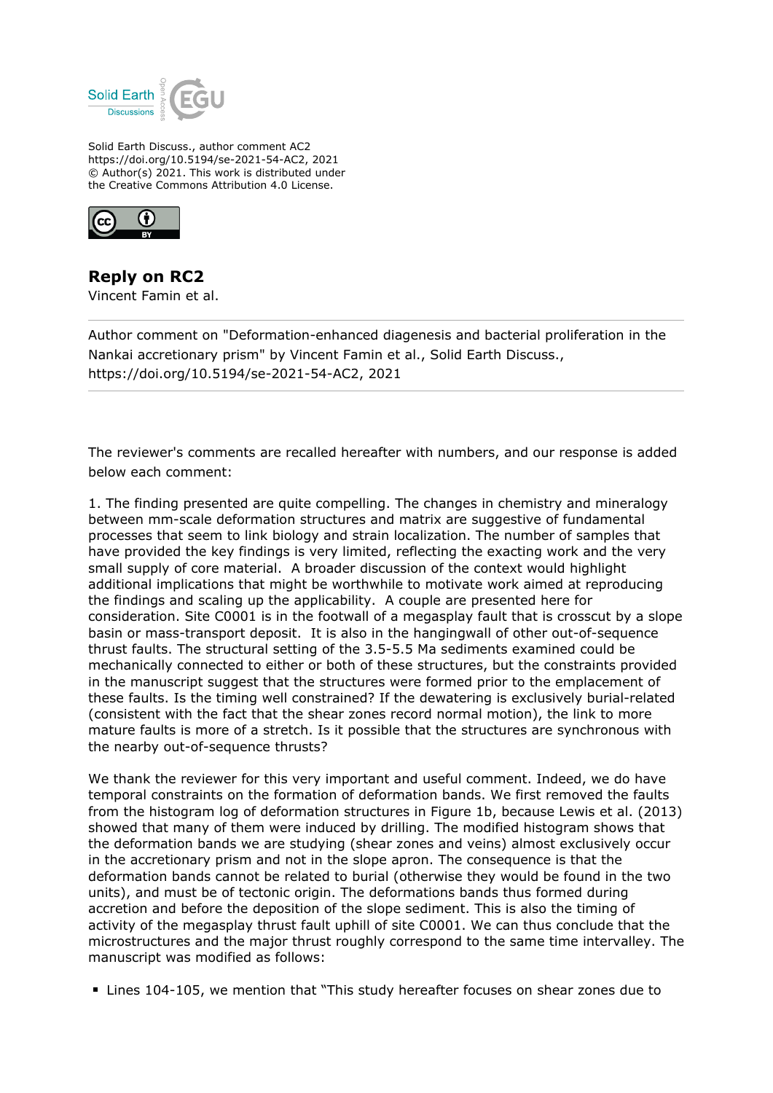

Solid Earth Discuss., author comment AC2 https://doi.org/10.5194/se-2021-54-AC2, 2021 © Author(s) 2021. This work is distributed under the Creative Commons Attribution 4.0 License.



**Reply on RC2** Vincent Famin et al.

Author comment on "Deformation-enhanced diagenesis and bacterial proliferation in the Nankai accretionary prism" by Vincent Famin et al., Solid Earth Discuss., https://doi.org/10.5194/se-2021-54-AC2, 2021

The reviewer's comments are recalled hereafter with numbers, and our response is added below each comment:

1. The finding presented are quite compelling. The changes in chemistry and mineralogy between mm-scale deformation structures and matrix are suggestive of fundamental processes that seem to link biology and strain localization. The number of samples that have provided the key findings is very limited, reflecting the exacting work and the very small supply of core material. A broader discussion of the context would highlight additional implications that might be worthwhile to motivate work aimed at reproducing the findings and scaling up the applicability. A couple are presented here for consideration. Site C0001 is in the footwall of a megasplay fault that is crosscut by a slope basin or mass-transport deposit. It is also in the hangingwall of other out-of-sequence thrust faults. The structural setting of the 3.5-5.5 Ma sediments examined could be mechanically connected to either or both of these structures, but the constraints provided in the manuscript suggest that the structures were formed prior to the emplacement of these faults. Is the timing well constrained? If the dewatering is exclusively burial-related (consistent with the fact that the shear zones record normal motion), the link to more mature faults is more of a stretch. Is it possible that the structures are synchronous with the nearby out-of-sequence thrusts?

We thank the reviewer for this very important and useful comment. Indeed, we do have temporal constraints on the formation of deformation bands. We first removed the faults from the histogram log of deformation structures in Figure 1b, because Lewis et al. (2013) showed that many of them were induced by drilling. The modified histogram shows that the deformation bands we are studying (shear zones and veins) almost exclusively occur in the accretionary prism and not in the slope apron. The consequence is that the deformation bands cannot be related to burial (otherwise they would be found in the two units), and must be of tectonic origin. The deformations bands thus formed during accretion and before the deposition of the slope sediment. This is also the timing of activity of the megasplay thrust fault uphill of site C0001. We can thus conclude that the microstructures and the major thrust roughly correspond to the same time intervalley. The manuscript was modified as follows:

Lines 104-105, we mention that "This study hereafter focuses on shear zones due to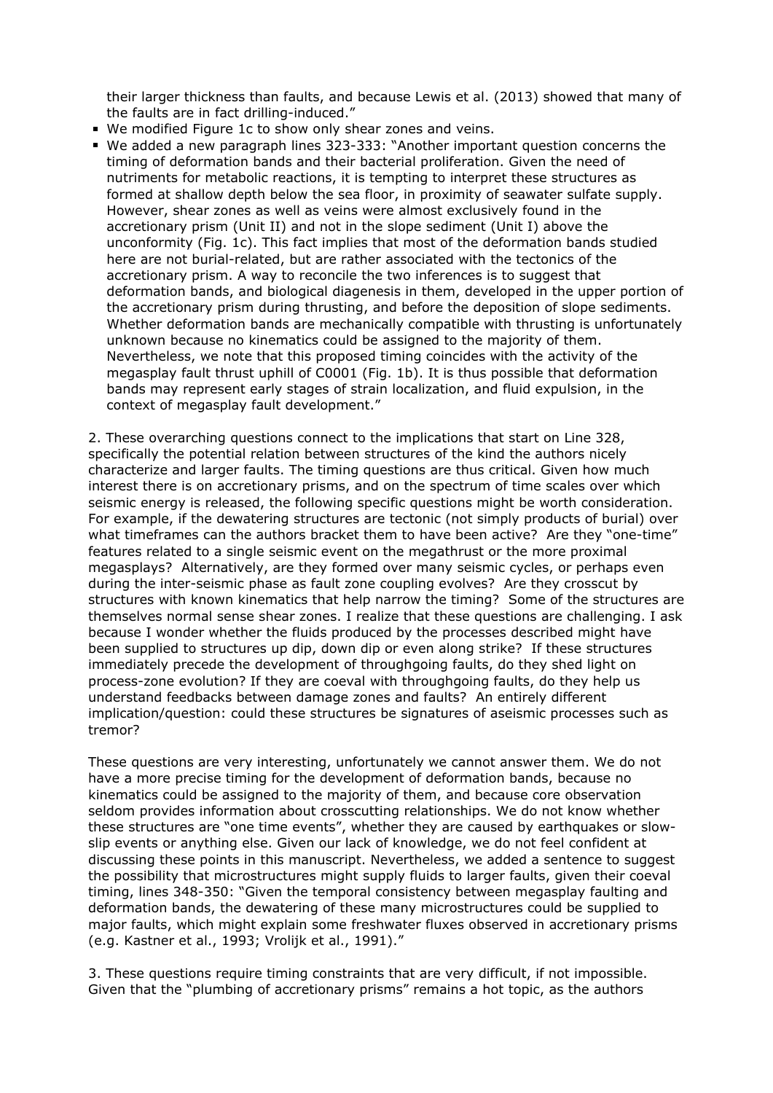their larger thickness than faults, and because Lewis et al. (2013) showed that many of the faults are in fact drilling-induced."

- We modified Figure 1c to show only shear zones and veins.
- We added a new paragraph lines 323-333: "Another important question concerns the timing of deformation bands and their bacterial proliferation. Given the need of nutriments for metabolic reactions, it is tempting to interpret these structures as formed at shallow depth below the sea floor, in proximity of seawater sulfate supply. However, shear zones as well as veins were almost exclusively found in the accretionary prism (Unit II) and not in the slope sediment (Unit I) above the unconformity (Fig. 1c). This fact implies that most of the deformation bands studied here are not burial-related, but are rather associated with the tectonics of the accretionary prism. A way to reconcile the two inferences is to suggest that deformation bands, and biological diagenesis in them, developed in the upper portion of the accretionary prism during thrusting, and before the deposition of slope sediments. Whether deformation bands are mechanically compatible with thrusting is unfortunately unknown because no kinematics could be assigned to the majority of them. Nevertheless, we note that this proposed timing coincides with the activity of the megasplay fault thrust uphill of C0001 (Fig. 1b). It is thus possible that deformation bands may represent early stages of strain localization, and fluid expulsion, in the context of megasplay fault development."

2. These overarching questions connect to the implications that start on Line 328, specifically the potential relation between structures of the kind the authors nicely characterize and larger faults. The timing questions are thus critical. Given how much interest there is on accretionary prisms, and on the spectrum of time scales over which seismic energy is released, the following specific questions might be worth consideration. For example, if the dewatering structures are tectonic (not simply products of burial) over what timeframes can the authors bracket them to have been active? Are they "one-time" features related to a single seismic event on the megathrust or the more proximal megasplays? Alternatively, are they formed over many seismic cycles, or perhaps even during the inter-seismic phase as fault zone coupling evolves? Are they crosscut by structures with known kinematics that help narrow the timing? Some of the structures are themselves normal sense shear zones. I realize that these questions are challenging. I ask because I wonder whether the fluids produced by the processes described might have been supplied to structures up dip, down dip or even along strike? If these structures immediately precede the development of throughgoing faults, do they shed light on process-zone evolution? If they are coeval with throughgoing faults, do they help us understand feedbacks between damage zones and faults? An entirely different implication/question: could these structures be signatures of aseismic processes such as tremor?

These questions are very interesting, unfortunately we cannot answer them. We do not have a more precise timing for the development of deformation bands, because no kinematics could be assigned to the majority of them, and because core observation seldom provides information about crosscutting relationships. We do not know whether these structures are "one time events", whether they are caused by earthquakes or slowslip events or anything else. Given our lack of knowledge, we do not feel confident at discussing these points in this manuscript. Nevertheless, we added a sentence to suggest the possibility that microstructures might supply fluids to larger faults, given their coeval timing, lines 348-350: "Given the temporal consistency between megasplay faulting and deformation bands, the dewatering of these many microstructures could be supplied to major faults, which might explain some freshwater fluxes observed in accretionary prisms (e.g. Kastner et al., 1993; Vrolijk et al., 1991)."

3. These questions require timing constraints that are very difficult, if not impossible. Given that the "plumbing of accretionary prisms" remains a hot topic, as the authors